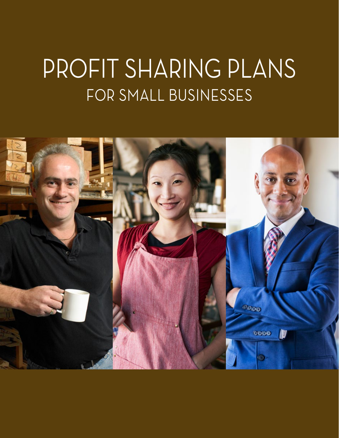# PROFIT SHARING PLANS FOR SMALL BUSINESSES

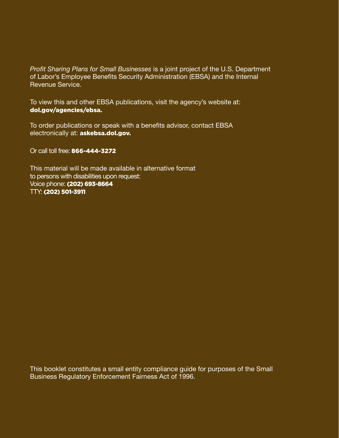*Profit Sharing Plans for Small Businesses* is a joint project of the U.S. Department of Labor's Employee Benefits Security Administration (EBSA) and the Internal Revenue Service.

To view this and other EBSA publications, visit the agency's website at: [dol.gov/agencies/ebsa](http://dol.gov/agencies/ebsa).

To order publications or speak with a benefits advisor, contact EBSA electronically at: [askebsa.dol.gov](https://www.dol.gov/agencies/ebsa/about-ebsa/ask-a-question/ask-ebsa).

Or call toll free: 866-444-3272

This material will be made available in alternative format to persons with disabilities upon request: Voice phone: (202) 693-8664 TTY: (202) 501-3911

This booklet constitutes a small entity compliance guide for purposes of the Small Business Regulatory Enforcement Fairness Act of 1996.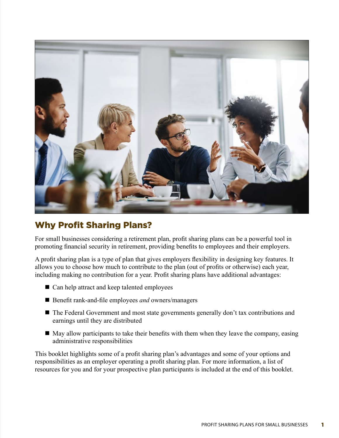

# Why Profit Sharing Plans?

For small businesses considering a retirement plan, profit sharing plans can be a powerful tool in promoting financial security in retirement, providing benefits to employees and their employers.

A profit sharing plan is a type of plan that gives employers flexibility in designing key features. It allows you to choose how much to contribute to the plan (out of profits or otherwise) each year, including making no contribution for a year. Profit sharing plans have additional advantages:

- $\blacksquare$  Can help attract and keep talented employees
- Benefit rank-and-file employees *and* owners/managers
- The Federal Government and most state governments generally don't tax contributions and earnings until they are distributed
- $\blacksquare$  May allow participants to take their benefits with them when they leave the company, easing administrative responsibilities

This booklet highlights some of a profit sharing plan's advantages and some of your options and responsibilities as an employer operating a profit sharing plan. For more information, a list of resources for you and for your prospective plan participants is included at the end of this booklet.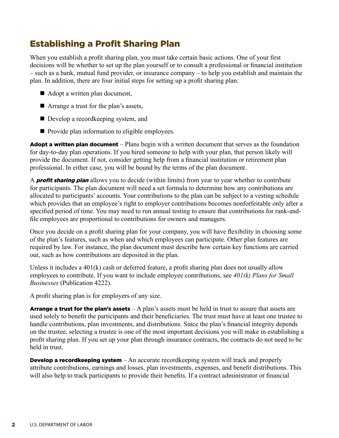# Establishing a Profit Sharing Plan

When you establish a profit sharing plan, you must take certain basic actions. One of your first decisions will be whether to set up the plan yourself or to consult a professional or financial institution – such as a bank, mutual fund provider, or insurance company – to help you establish and maintain the plan. In addition, there are four initial steps for setting up a profit sharing plan:

- $\blacksquare$  Adopt a written plan document,
- Arrange a trust for the plan's assets,
- Develop a recordkeeping system, and
- $\blacksquare$  Provide plan information to eligible employees.

**Adopt a written plan document** – Plans begin with a written document that serves as the foundation for day-to-day plan operations. If you hired someone to help with your plan, that person likely will provide the document. If not, consider getting help from a financial institution or retirement plan professional. In either case, you will be bound by the terms of the plan document.

A **profit sharing plan** allows you to decide (within limits) from year to year whether to contribute for participants. The plan document will need a set formula to determine how any contributions are allocated to participants' accounts. Your contributions to the plan can be subject to a vesting schedule which provides that an employee's right to employer contributions becomes nonforfeitable only after a specified period of time. You may need to run annual testing to ensure that contributions for rank-andfile employees are proportional to contributions for owners and managers.

Once you decide on a profit sharing plan for your company, you will have flexibility in choosing some of the plan's features, such as when and which employees can participate. Other plan features are required by law. For instance, the plan document must describe how certain key functions are carried out, such as how contributions are deposited in the plan.

Unless it includes a 401(k) cash or deferred feature, a profit sharing plan does not usually allow employees to contribute. If you want to include employee contributions, see *401(k) Plans for Small Businesses* (Publication 4222).

A profit sharing plan is for employers of any size.

**Arrange a trust for the plan's assets**  $-A$  plan's assets must be held in trust to assure that assets are used solely to benefit the participants and their beneficiaries. The trust must have at least one trustee to handle contributions, plan investments, and distributions. Since the plan's financial integrity depends on the trustee, selecting a trustee is one of the most important decisions you will make in establishing a profit sharing plan. If you set up your plan through insurance contracts, the contracts do not need to be held in trust.

**Develop a recordkeeping system**  $-An$  accurate recordkeeping system will track and properly attribute contributions, earnings and losses, plan investments, expenses, and benefit distributions. This will also help to track participants to provide their benefits. If a contract administrator or financial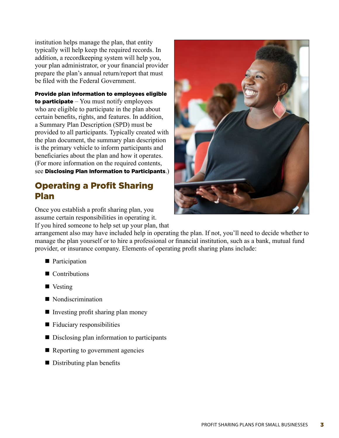institution helps manage the plan, that entity typically will help keep the required records. In addition, a recordkeeping system will help you, your plan administrator, or your financial provider prepare the plan's annual return/report that must be filed with the Federal Government.

Provide plan information to employees eligible to participate  $-$  You must notify employees who are eligible to participate in the plan about certain benefits, rights, and features. In addition, a Summary Plan Description (SPD) must be provided to all participants. Typically created with the plan document, the summary plan description is the primary vehicle to inform participants and beneficiaries about the plan and how it operates. (For more information on the required contents, see Disclosing Plan Information to Participants.)

## Operating a Profit Sharing Plan

Once you establish a profit sharing plan, you assume certain responsibilities in operating it. If you hired someone to help set up your plan, that



arrangement also may have included help in operating the plan. If not, you'll need to decide whether to manage the plan yourself or to hire a professional or financial institution, such as a bank, mutual fund provider, or insurance company. Elements of operating profit sharing plans include:

- $\blacksquare$  Participation
- $\blacksquare$  Contributions
- $\blacksquare$  Vesting
- Nondiscrimination
- $\blacksquare$  Investing profit sharing plan money
- $\blacksquare$  Fiduciary responsibilities
- $\blacksquare$  Disclosing plan information to participants
- $\blacksquare$  Reporting to government agencies
- $\blacksquare$  Distributing plan benefits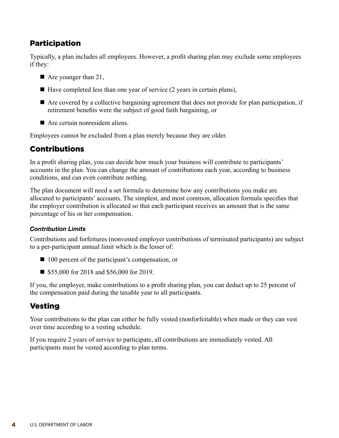## **Participation**

Typically, a plan includes all employees. However, a profit sharing plan may exclude some employees if they:

- $\blacksquare$  Are younger than 21,
- $\blacksquare$  Have completed less than one year of service (2 years in certain plans),
- $\blacksquare$  Are covered by a collective bargaining agreement that does not provide for plan participation, if retirement benefits were the subject of good faith bargaining, or
- $\blacksquare$  Are certain nonresident aliens.

Employees cannot be excluded from a plan merely because they are older.

## Contributions

In a profit sharing plan, you can decide how much your business will contribute to participants' accounts in the plan. You can change the amount of contributions each year, according to business conditions, and can even contribute nothing.

The plan document will need a set formula to determine how any contributions you make are allocated to participants' accounts. The simplest, and most common, allocation formula specifies that the employer contribution is allocated so that each participant receives an amount that is the same percentage of his or her compensation.

#### *Contribution Limits*

Contributions and forfeitures (nonvested employer contributions of terminated participants) are subject to a per-participant annual limit which is the lesser of:

- $\blacksquare$  100 percent of the participant's compensation, or
- \$55,000 for 2018 and \$56,000 for 2019.

If you, the employer, make contributions to a profit sharing plan, you can deduct up to 25 percent of the compensation paid during the taxable year to all participants.

## Vesting

Your contributions to the plan can either be fully vested (nonforfeitable) when made or they can vest over time according to a vesting schedule.

If you require 2 years of service to participate, all contributions are immediately vested. All participants must be vested according to plan terms.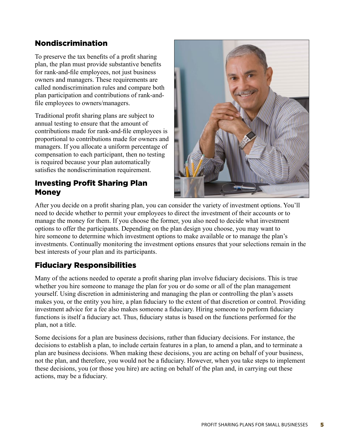## Nondiscrimination

To preserve the tax benefits of a profit sharing plan, the plan must provide substantive benefits for rank-and-file employees, not just business owners and managers. These requirements are called nondiscrimination rules and compare both plan participation and contributions of rank-andfile employees to owners/managers.

Traditional profit sharing plans are subject to annual testing to ensure that the amount of contributions made for rank-and-file employees is proportional to contributions made for owners and managers. If you allocate a uniform percentage of compensation to each participant, then no testing is required because your plan automatically satisfies the nondiscrimination requirement.

## Investing Profit Sharing Plan **Money**



After you decide on a profit sharing plan, you can consider the variety of investment options. You'll need to decide whether to permit your employees to direct the investment of their accounts or to manage the money for them. If you choose the former, you also need to decide what investment options to offer the participants. Depending on the plan design you choose, you may want to hire someone to determine which investment options to make available or to manage the plan's investments. Continually monitoring the investment options ensures that your selections remain in the best interests of your plan and its participants.

## Fiduciary Responsibilities

Many of the actions needed to operate a profit sharing plan involve fiduciary decisions. This is true whether you hire someone to manage the plan for you or do some or all of the plan management yourself. Using discretion in administering and managing the plan or controlling the plan's assets makes you, or the entity you hire, a plan fiduciary to the extent of that discretion or control. Providing investment advice for a fee also makes someone a fiduciary. Hiring someone to perform fiduciary functions is itself a fiduciary act. Thus, fiduciary status is based on the functions performed for the plan, not a title.

Some decisions for a plan are business decisions, rather than fiduciary decisions. For instance, the decisions to establish a plan, to include certain features in a plan, to amend a plan, and to terminate a plan are business decisions. When making these decisions, you are acting on behalf of your business, not the plan, and therefore, you would not be a fiduciary. However, when you take steps to implement these decisions, you (or those you hire) are acting on behalf of the plan and, in carrying out these actions, may be a fiduciary.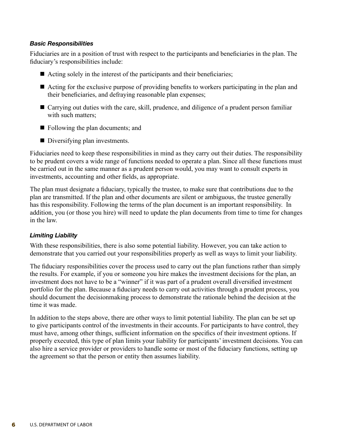#### *Basic Responsibilities*

Fiduciaries are in a position of trust with respect to the participants and beneficiaries in the plan. The fiduciary's responsibilities include:

- Acting solely in the interest of the participants and their beneficiaries;
- $\blacksquare$  Acting for the exclusive purpose of providing benefits to workers participating in the plan and their beneficiaries, and defraying reasonable plan expenses;
- $\blacksquare$  Carrying out duties with the care, skill, prudence, and diligence of a prudent person familiar with such matters;
- $\blacksquare$  Following the plan documents; and
- $\blacksquare$  Diversifying plan investments.

Fiduciaries need to keep these responsibilities in mind as they carry out their duties. The responsibility to be prudent covers a wide range of functions needed to operate a plan. Since all these functions must be carried out in the same manner as a prudent person would, you may want to consult experts in investments, accounting and other fields, as appropriate.

The plan must designate a fiduciary, typically the trustee, to make sure that contributions due to the plan are transmitted. If the plan and other documents are silent or ambiguous, the trustee generally has this responsibility. Following the terms of the plan document is an important responsibility. In addition, you (or those you hire) will need to update the plan documents from time to time for changes in the law.

#### *Limiting Liability*

With these responsibilities, there is also some potential liability. However, you can take action to demonstrate that you carried out your responsibilities properly as well as ways to limit your liability.

The fiduciary responsibilities cover the process used to carry out the plan functions rather than simply the results. For example, if you or someone you hire makes the investment decisions for the plan, an investment does not have to be a "winner" if it was part of a prudent overall diversified investment portfolio for the plan. Because a fiduciary needs to carry out activities through a prudent process, you should document the decisionmaking process to demonstrate the rationale behind the decision at the time it was made.

In addition to the steps above, there are other ways to limit potential liability. The plan can be set up to give participants control of the investments in their accounts. For participants to have control, they must have, among other things, sufficient information on the specifics of their investment options. If properly executed, this type of plan limits your liability for participants' investment decisions. You can also hire a service provider or providers to handle some or most of the fiduciary functions, setting up the agreement so that the person or entity then assumes liability.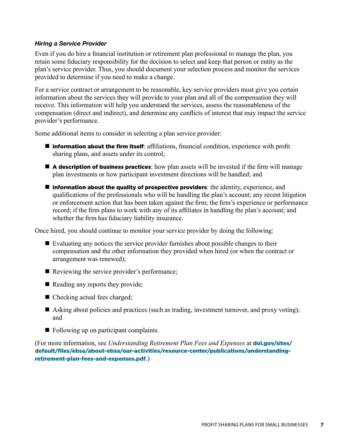#### *Hiring a Service Provider*

Even if you do hire a financial institution or retirement plan professional to manage the plan, you retain some fiduciary responsibility for the decision to select and keep that person or entity as the plan's service provider. Thus, you should document your selection process and monitor the services provided to determine if you need to make a change.

For a service contract or arrangement to be reasonable, key service providers must give you certain information about the services they will provide to your plan and all of the compensation they will receive. This information will help you understand the services, assess the reasonableness of the compensation (direct and indirect), and determine any conflicts of interest that may impact the service provider's performance.

Some additional items to consider in selecting a plan service provider:

- $\blacksquare$  **Information about the firm itself**: affiliations, financial condition, experience with profit sharing plans, and assets under its control;
- $\blacksquare$  A description of business practices: how plan assets will be invested if the firm will manage plan investments or how participant investment directions will be handled; and
- $\blacksquare$  Information about the quality of prospective providers: the identity, experience, and qualifications of the professionals who will be handling the plan's account; any recent litigation or enforcement action that has been taken against the firm; the firm's experience or performance record; if the firm plans to work with any of its affiliates in handling the plan's account; and whether the firm has fiduciary liability insurance.

Once hired, you should continue to monitor your service provider by doing the following:

- $\blacksquare$  Evaluating any notices the service provider furnishes about possible changes to their compensation and the other information they provided when hired (or when the contract or arrangement was renewed);
- $\blacksquare$  Reviewing the service provider's performance;
- $\blacksquare$  Reading any reports they provide;
- Checking actual fees charged;
- Asking about policies and practices (such as trading, investment turnover, and proxy voting); and
- $\blacksquare$  Following up on participant complaints.

(For more information, see *Understanding Retirement Plan Fees and Expenses* at dol.gov/sites/ [default/files/ebsa/about-ebsa/our-activities/resource-center/publications/understanding](http://dol.gov/sites/default/files/ebsa/about-ebsa/our-activities/resource-center/publications/understanding-retirement-plan-fees-and-expenses.pdf)retirement-plan-fees-and-expenses.pdf.)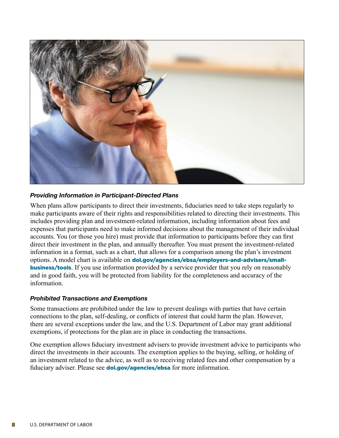

#### *Providing Information in Participant-Directed Plans*

When plans allow participants to direct their investments, fiduciaries need to take steps regularly to make participants aware of their rights and responsibilities related to directing their investments. This includes providing plan and investment-related information, including information about fees and expenses that participants need to make informed decisions about the management of their individual accounts. You (or those you hire) must provide that information to participants before they can first direct their investment in the plan, and annually thereafter. You must present the investment-related information in a format, such as a chart, that allows for a comparison among the plan's investment options. A model chart is available on **[dol.gov/agencies/ebsa/employers-and-advisers/small](http://dol.gov/agencies/ebsa/employers-and-advisers/small-business/tools)business/tools**. If you use information provided by a service provider that you rely on reasonably and in good faith, you will be protected from liability for the completeness and accuracy of the information.

#### *Prohibited Transactions and Exemptions*

Some transactions are prohibited under the law to prevent dealings with parties that have certain connections to the plan, self-dealing, or conflicts of interest that could harm the plan. However, there are several exceptions under the law, and the U.S. Department of Labor may grant additional exemptions, if protections for the plan are in place in conducting the transactions.

One exemption allows fiduciary investment advisers to provide investment advice to participants who direct the investments in their accounts. The exemption applies to the buying, selling, or holding of an investment related to the advice, as well as to receiving related fees and other compensation by a fiduciary adviser. Please see **[dol.gov/agencies/ebsa](http://dol.gov/agencies/ebsa)** for more information.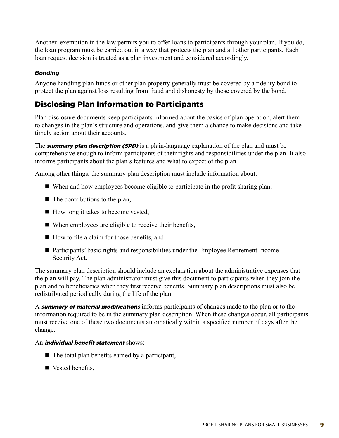Another exemption in the law permits you to offer loans to participants through your plan. If you do, the loan program must be carried out in a way that protects the plan and all other participants. Each loan request decision is treated as a plan investment and considered accordingly.

#### *Bonding*

Anyone handling plan funds or other plan property generally must be covered by a fidelity bond to protect the plan against loss resulting from fraud and dishonesty by those covered by the bond.

## Disclosing Plan Information to Participants

Plan disclosure documents keep participants informed about the basics of plan operation, alert them to changes in the plan's structure and operations, and give them a chance to make decisions and take timely action about their accounts.

The **summary plan description (SPD)** is a plain-language explanation of the plan and must be comprehensive enough to inform participants of their rights and responsibilities under the plan. It also informs participants about the plan's features and what to expect of the plan.

Among other things, the summary plan description must include information about:

- $\blacksquare$  When and how employees become eligible to participate in the profit sharing plan,
- $\blacksquare$  The contributions to the plan,
- $\blacksquare$  How long it takes to become vested,
- $\blacksquare$  When employees are eligible to receive their benefits,
- $\blacksquare$  How to file a claim for those benefits, and
- n Participants' basic rights and responsibilities under the Employee Retirement Income Security Act.

The summary plan description should include an explanation about the administrative expenses that the plan will pay. The plan administrator must give this document to participants when they join the plan and to beneficiaries when they first receive benefits. Summary plan descriptions must also be redistributed periodically during the life of the plan.

A **summary of material modifications** informs participants of changes made to the plan or to the information required to be in the summary plan description. When these changes occur, all participants must receive one of these two documents automatically within a specified number of days after the change.

#### An *individual benefit statement* shows:

- $\blacksquare$  The total plan benefits earned by a participant,
- $\blacksquare$  Vested benefits,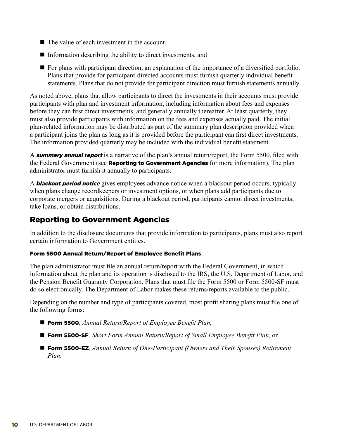- $\blacksquare$  The value of each investment in the account.
- $\blacksquare$  Information describing the ability to direct investments, and
- $\blacksquare$  For plans with participant direction, an explanation of the importance of a diversified portfolio. Plans that provide for participant-directed accounts must furnish quarterly individual benefit statements. Plans that do not provide for participant direction must furnish statements annually.

As noted above, plans that allow participants to direct the investments in their accounts must provide participants with plan and investment information, including information about fees and expenses before they can first direct investments, and generally annually thereafter. At least quarterly, they must also provide participants with information on the fees and expenses actually paid. The initial plan-related information may be distributed as part of the summary plan description provided when a participant joins the plan as long as it is provided before the participant can first direct investments. The information provided quarterly may be included with the individual benefit statement.

A **summary annual report** is a narrative of the plan's annual return/report, the Form 5500, filed with the Federal Government (see **Reporting to Government Agencies** for more information). The plan administrator must furnish it annually to participants.

A **blackout period notice** gives employees advance notice when a blackout period occurs, typically when plans change recordkeepers or investment options, or when plans add participants due to corporate mergers or acquisitions. During a blackout period, participants cannot direct investments, take loans, or obtain distributions.

## Reporting to Government Agencies

In addition to the disclosure documents that provide information to participants, plans must also report certain information to Government entities.

#### Form 5500 Annual Return/Report of Employee Benefit Plans

The plan administrator must file an annual return/report with the Federal Government, in which information about the plan and its operation is disclosed to the IRS, the U.S. Department of Labor, and the Pension Benefit Guaranty Corporation. Plans that must file the Form 5500 or Form 5500-SF must do so electronically. The Department of Labor makes these returns/reports available to the public.

Depending on the number and type of participants covered, most profit sharing plans must file one of the following forms:

- Form 5500, Annual Return/Report of Employee Benefit Plan,
- Form 5500-SF, Short Form Annual Return/Report of Small Employee Benefit Plan, or
- Form 5500-EZ, Annual Return of One-Participant (Owners and Their Spouses) Retirement *Plan.*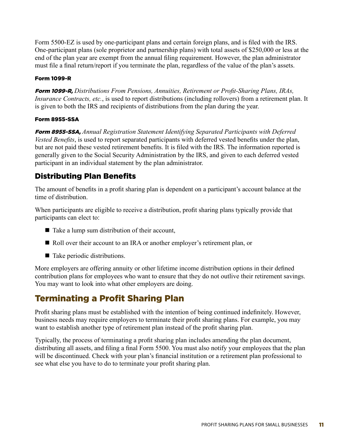Form 5500-EZ is used by one-participant plans and certain foreign plans, and is filed with the IRS. One-participant plans (sole proprietor and partnership plans) with total assets of \$250,000 or less at the end of the plan year are exempt from the annual filing requirement. However, the plan administrator must file a final return/report if you terminate the plan, regardless of the value of the plan's assets.

#### Form 1099-R

Form 1099-R, *Distributions From Pensions, Annuities, Retirement or Profit-Sharing Plans, IRAs, Insurance Contracts, etc.*, is used to report distributions (including rollovers) from a retirement plan. It is given to both the IRS and recipients of distributions from the plan during the year.

#### Form 8955-SSA

Form 8955-SSA, *Annual Registration Statement Identifying Separated Participants with Deferred Vested Benefits*, is used to report separated participants with deferred vested benefits under the plan, but are not paid these vested retirement benefits. It is filed with the IRS. The information reported is generally given to the Social Security Administration by the IRS, and given to each deferred vested participant in an individual statement by the plan administrator.

## Distributing Plan Benefits

The amount of benefits in a profit sharing plan is dependent on a participant's account balance at the time of distribution.

When participants are eligible to receive a distribution, profit sharing plans typically provide that participants can elect to:

- $\blacksquare$  Take a lump sum distribution of their account,
- Roll over their account to an IRA or another employer's retirement plan, or
- $\blacksquare$  Take periodic distributions.

More employers are offering annuity or other lifetime income distribution options in their defined contribution plans for employees who want to ensure that they do not outlive their retirement savings. You may want to look into what other employers are doing.

# Terminating a Profit Sharing Plan

Profit sharing plans must be established with the intention of being continued indefinitely. However, business needs may require employers to terminate their profit sharing plans. For example, you may want to establish another type of retirement plan instead of the profit sharing plan.

Typically, the process of terminating a profit sharing plan includes amending the plan document, distributing all assets, and filing a final Form 5500. You must also notify your employees that the plan will be discontinued. Check with your plan's financial institution or a retirement plan professional to see what else you have to do to terminate your profit sharing plan.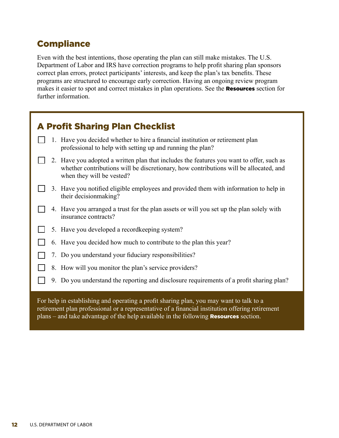## **Compliance**

Even with the best intentions, those operating the plan can still make mistakes. The U.S. Department of Labor and IRS have correction programs to help profit sharing plan sponsors correct plan errors, protect participants' interests, and keep the plan's tax benefits. These programs are structured to encourage early correction. Having an ongoing review program makes it easier to spot and correct mistakes in plan operations. See the **Resources** section for further information.

| <b>A Profit Sharing Plan Checklist</b>                                                                                                                                                                         |
|----------------------------------------------------------------------------------------------------------------------------------------------------------------------------------------------------------------|
| 1. Have you decided whether to hire a financial institution or retirement plan<br>professional to help with setting up and running the plan?                                                                   |
| 2. Have you adopted a written plan that includes the features you want to offer, such as<br>whether contributions will be discretionary, how contributions will be allocated, and<br>when they will be vested? |
| 3. Have you notified eligible employees and provided them with information to help in<br>their decision making?                                                                                                |
| 4. Have you arranged a trust for the plan assets or will you set up the plan solely with<br>insurance contracts?                                                                                               |
| 5. Have you developed a record keeping system?                                                                                                                                                                 |
| 6. Have you decided how much to contribute to the plan this year?                                                                                                                                              |
| 7. Do you understand your fiduciary responsibilities?                                                                                                                                                          |
| 8. How will you monitor the plan's service providers?                                                                                                                                                          |
| 9. Do you understand the reporting and disclosure requirements of a profit sharing plan?                                                                                                                       |
| For help in establishing and operating a profit sharing plan, you may want to talk to a<br>retirement plan professional or a representative of a financial institution offering retirement                     |

plans – and take advantage of the help available in the following Resources section.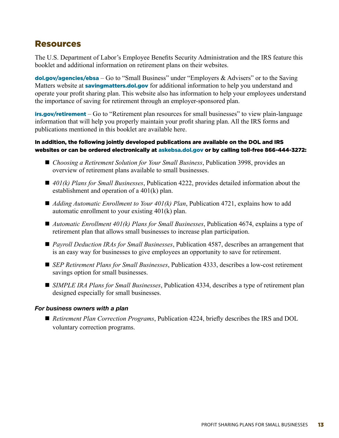## Resources

The U.S. Department of Labor's Employee Benefits Security Administration and the IRS feature this booklet and additional information on retirement plans on their websites.

**[dol.gov/agencies/ebsa](http://dol.gov/agencies/ebsa)** – Go to "Small Business" under "Employers  $\&$  Advisers" or to the Saving Matters website at **[savingmatters.dol.gov](http://savingmatters.dol.gov)** for additional information to help you understand and operate your profit sharing plan. This website also has information to help your employees understand the importance of saving for retirement through an employer-sponsored plan.

**[irs.gov/retirement](http://irs.gov/retirement)** – Go to "Retirement plan resources for small businesses" to view plain-language information that will help you properly maintain your profit sharing plan. All the IRS forms and publications mentioned in this booklet are available here.

#### In addition, the following jointly developed publications are available on the DOL and IRS websites or can be ordered electronically at [askebsa.dol.gov](https://www.dol.gov/agencies/ebsa/about-ebsa/ask-a-question/ask-ebsa) or by calling toll-free 866-444-3272:

- *Choosing a Retirement Solution for Your Small Business*, Publication 3998, provides an overview of retirement plans available to small businesses.
- n *401(k) Plans for Small Businesses*, Publication 4222, provides detailed information about the establishment and operation of a 401(k) plan.
- *Adding Automatic Enrollment to Your 401(k) Plan*, Publication 4721, explains how to add automatic enrollment to your existing 401(k) plan.
- *Automatic Enrollment 401(k) Plans for Small Businesses*, Publication 4674, explains a type of retirement plan that allows small businesses to increase plan participation.
- *Payroll Deduction IRAs for Small Businesses*, Publication 4587, describes an arrangement that is an easy way for businesses to give employees an opportunity to save for retirement.
- *SEP Retirement Plans for Small Businesses*, Publication 4333, describes a low-cost retirement savings option for small businesses.
- *SIMPLE IRA Plans for Small Businesses*, Publication 4334, describes a type of retirement plan designed especially for small businesses.

#### *For business owners with a plan*

■ *Retirement Plan Correction Programs*, Publication 4224, briefly describes the IRS and DOL voluntary correction programs.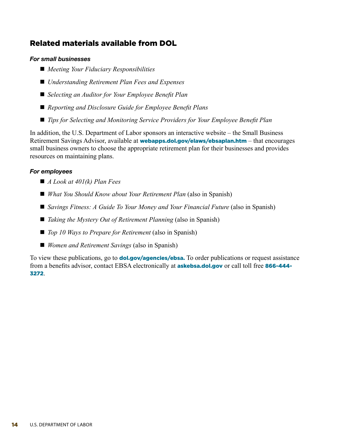## Related materials available from DOL

#### *For small businesses*

- *Meeting Your Fiduciary Responsibilities*
- *Understanding Retirement Plan Fees and Expenses*
- *Selecting an Auditor for Your Employee Benefit Plan*
- *Reporting and Disclosure Guide for Employee Benefit Plans*
- *Tips for Selecting and Monitoring Service Providers for Your Employee Benefit Plan*

In addition, the U.S. Department of Labor sponsors an interactive website – the Small Business Retirement Savings Advisor, available at **[webapps.dol.gov/elaws/ebsaplan.htm](http://webapps.dol.gov/elaws/ebsaplan.htm)** – that encourages small business owners to choose the appropriate retirement plan for their businesses and provides resources on maintaining plans.

#### *For employees*

- *A Look at 401(k) Plan Fees*
- *What You Should Know about Your Retirement Plan* (also in Spanish)
- *Savings Fitness: A Guide To Your Money and Your Financial Future* (also in Spanish)
- *Taking the Mystery Out of Retirement Planning* (also in Spanish)
- *Top 10 Ways to Prepare for Retirement* (also in Spanish)
- *Women and Retirement Savings* (also in Spanish)

To view these publications, go to **[dol.gov/agencies/ebsa](http://dol.gov/agencies/ebsa).** To order publications or request assistance from a benefits advisor, contact EBSA electronically at **[askebsa.dol.gov](https://www.dol.gov/agencies/ebsa/about-ebsa/ask-a-question/ask-ebsa)** or call toll free 866-444-3272.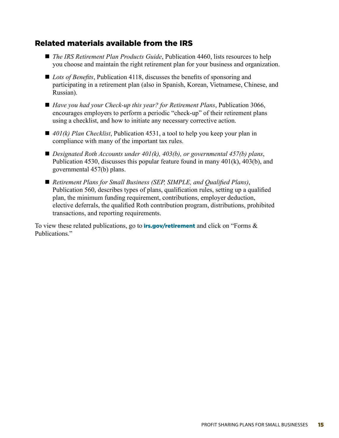## Related materials available from the IRS

- *The IRS Retirement Plan Products Guide*, Publication 4460, lists resources to help you choose and maintain the right retirement plan for your business and organization.
- *Lots of Benefits*, Publication 4118, discusses the benefits of sponsoring and participating in a retirement plan (also in Spanish, Korean, Vietnamese, Chinese, and Russian).
- *Have you had your Check-up this year? for Retirement Plans*, Publication 3066, encourages employers to perform a periodic "check-up" of their retirement plans using a checklist, and how to initiate any necessary corrective action.
- 401(k) Plan Checklist, Publication 4531, a tool to help you keep your plan in compliance with many of the important tax rules.
- *Designated Roth Accounts under 401(k), 403(b), or governmental 457(b) plans,* Publication 4530, discusses this popular feature found in many 401(k), 403(b), and governmental 457(b) plans.
- *Retirement Plans for Small Business (SEP, SIMPLE, and Qualified Plans)*, Publication 560, describes types of plans, qualification rules, setting up a qualified plan, the minimum funding requirement, contributions, employer deduction, elective deferrals, the qualified Roth contribution program, distributions, prohibited transactions, and reporting requirements.

To view these related publications, go to **[irs.gov/retirement](http://irs.gov/retirement)** and click on "Forms  $\&$ Publications."